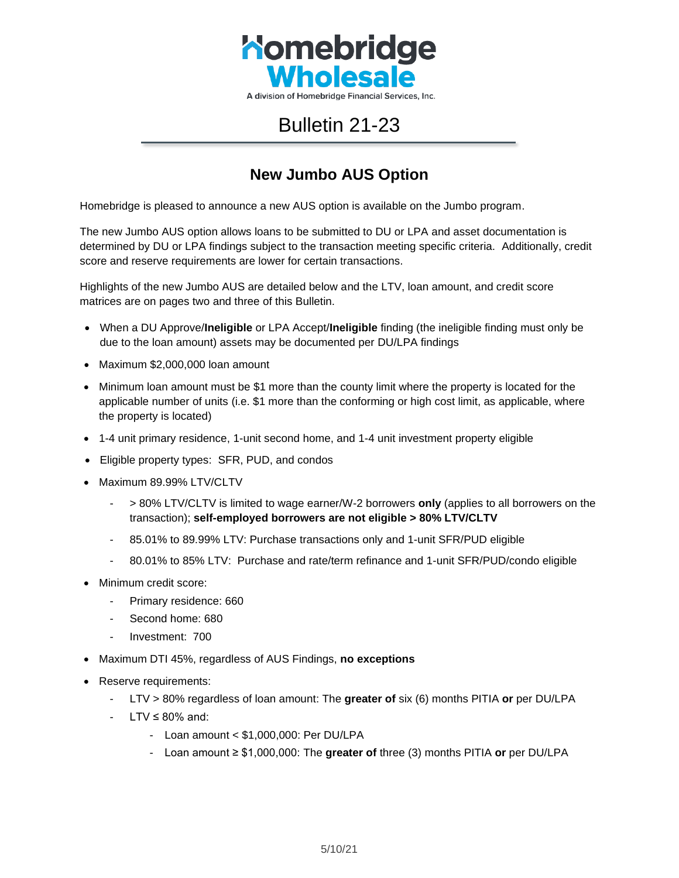

## Bulletin 21-23

## **New Jumbo AUS Option**

Homebridge is pleased to announce a new AUS option is available on the Jumbo program.

The new Jumbo AUS option allows loans to be submitted to DU or LPA and asset documentation is determined by DU or LPA findings subject to the transaction meeting specific criteria. Additionally, credit score and reserve requirements are lower for certain transactions.

Highlights of the new Jumbo AUS are detailed below and the LTV, loan amount, and credit score matrices are on pages two and three of this Bulletin.

- When a DU Approve/**Ineligible** or LPA Accept/**Ineligible** finding (the ineligible finding must only be due to the loan amount) assets may be documented per DU/LPA findings
- Maximum \$2,000,000 loan amount
- Minimum loan amount must be \$1 more than the county limit where the property is located for the applicable number of units (i.e. \$1 more than the conforming or high cost limit, as applicable, where the property is located)
- 1-4 unit primary residence, 1-unit second home, and 1-4 unit investment property eligible
- Eligible property types: SFR, PUD, and condos
- Maximum 89.99% LTV/CLTV
	- > 80% LTV/CLTV is limited to wage earner/W-2 borrowers **only** (applies to all borrowers on the transaction); **self-employed borrowers are not eligible > 80% LTV/CLTV**
	- 85.01% to 89.99% LTV: Purchase transactions only and 1-unit SFR/PUD eligible
	- 80.01% to 85% LTV: Purchase and rate/term refinance and 1-unit SFR/PUD/condo eligible
- Minimum credit score:
	- Primary residence: 660
	- Second home: 680
	- Investment: 700
- Maximum DTI 45%, regardless of AUS Findings, **no exceptions**
- Reserve requirements:
	- LTV > 80% regardless of loan amount: The **greater of** six (6) months PITIA **or** per DU/LPA
	- $LTV \leq 80\%$  and:
		- Loan amount < \$1,000,000: Per DU/LPA
		- Loan amount ≥ \$1,000,000: The **greater of** three (3) months PITIA **or** per DU/LPA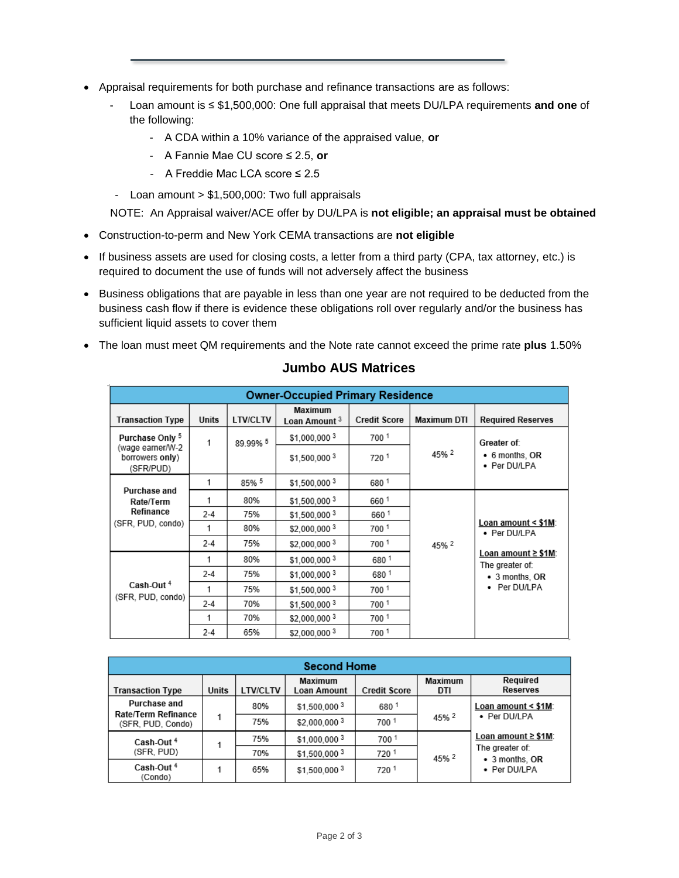- Appraisal requirements for both purchase and refinance transactions are as follows:
	- Loan amount is ≤ \$1,500,000: One full appraisal that meets DU/LPA requirements **and one** of the following:
		- A CDA within a 10% variance of the appraised value, **or**
		- A Fannie Mae CU score ≤ 2.5, **or**
		- A Freddie Mac LCA score ≤ 2.5
	- Loan amount > \$1,500,000: Two full appraisals

NOTE: An Appraisal waiver/ACE offer by DU/LPA is **not eligible; an appraisal must be obtained**

- Construction-to-perm and New York CEMA transactions are **not eligible**
- If business assets are used for closing costs, a letter from a third party (CPA, tax attorney, etc.) is required to document the use of funds will not adversely affect the business
- Business obligations that are payable in less than one year are not required to be deducted from the business cash flow if there is evidence these obligations roll over regularly and/or the business has sufficient liquid assets to cover them
- The loan must meet QM requirements and the Note rate cannot exceed the prime rate **plus** 1.50%

| <b>Owner-Occupied Primary Residence</b>                             |         |                 |                                     |                     |                    |                                                                                                 |  |
|---------------------------------------------------------------------|---------|-----------------|-------------------------------------|---------------------|--------------------|-------------------------------------------------------------------------------------------------|--|
| <b>Transaction Type</b>                                             | Units   | <b>LTV/CLTV</b> | Maximum<br>Loan Amount <sup>3</sup> | <b>Credit Score</b> | <b>Maximum DTI</b> | <b>Required Reserves</b>                                                                        |  |
| Purchase Only 5<br>(wage earner/W-2<br>borrowers only)<br>(SFR/PUD) | 1       | 89.99% 5        | \$1,000,0003                        | 700 1               | 45% 2              | Greater of:<br>$\bullet$ 6 months, OR<br>• Per DU/LPA                                           |  |
|                                                                     |         |                 | \$1.500.0003                        | 720 1               |                    |                                                                                                 |  |
| Purchase and<br>Rate/Term<br>Refinance<br>(SFR, PUD, condo)         | 1       | 85% 5           | \$1,500,0003                        | 680 1               |                    |                                                                                                 |  |
|                                                                     |         | 80%             | \$1,500,000 3                       | 660 1               | 45% 2              | Loan amount < \$1M:<br>• Per DU/LPA<br>Loan amount ≥ \$1M:<br>The greater of:<br>• 3 months, OR |  |
|                                                                     | $2 - 4$ | 75%             | \$1,500,000 3                       | 6601                |                    |                                                                                                 |  |
|                                                                     |         | 80%             | \$2,000,0003                        | 700 1               |                    |                                                                                                 |  |
|                                                                     | $2 - 4$ | 75%             | \$2.000.0003                        | 700 1               |                    |                                                                                                 |  |
| Cash-Out <sup>4</sup><br>(SFR, PUD, condo)                          | 1       | 80%             | \$1,000,000 3                       | 6801                |                    |                                                                                                 |  |
|                                                                     | $2 - 4$ | 75%             | \$1.000.0003                        | 6801                |                    |                                                                                                 |  |
|                                                                     | 1       | 75%             | \$1,500,000 3                       | 700 1               |                    | Per DU/LPA<br>٠                                                                                 |  |
|                                                                     | $2 - 4$ | 70%             | \$1,500,000 3                       | 700 1               |                    |                                                                                                 |  |
|                                                                     | 1       | 70%             | \$2,000,000 3                       | 700 1               |                    |                                                                                                 |  |
|                                                                     | $2 - 4$ | 65%             | \$2,000,000 3                       | 700 1               |                    |                                                                                                 |  |

## **Jumbo AUS Matrices**

| <b>Second Home</b>                                              |       |                 |                        |                     |                       |                                                                                                                    |  |
|-----------------------------------------------------------------|-------|-----------------|------------------------|---------------------|-----------------------|--------------------------------------------------------------------------------------------------------------------|--|
| <b>Transaction Type</b>                                         | Units | <b>LTV/CLTV</b> | Maximum<br>Loan Amount | <b>Credit Score</b> | <b>Maximum</b><br>DTI | Required<br><b>Reserves</b>                                                                                        |  |
| <b>Purchase and</b><br>Rate/Term Refinance<br>(SFR, PUD, Condo) | 1     | 80%             | \$1.500,000 3          | 6801                | 45% 2                 | Loan amount < \$1M:<br>• Per DU/LPA<br>Loan amount ≥ \$1M:<br>The greater of:<br>• 3 months, OR<br>Per DU/LPA<br>٠ |  |
|                                                                 |       | 75%             | \$2,000,000 3          | 700 1               |                       |                                                                                                                    |  |
| Cash-Out <sup>4</sup><br>(SFR, PUD)                             | 1     | 75%             | \$1.000.0003           | 7001                | 45% 2                 |                                                                                                                    |  |
|                                                                 |       | 70%             | \$1,500,000 3          | 720                 |                       |                                                                                                                    |  |
| Cash-Out <sup>4</sup><br>(Condo)                                | 1     | 65%             | \$1.500.0003           | 7201                |                       |                                                                                                                    |  |